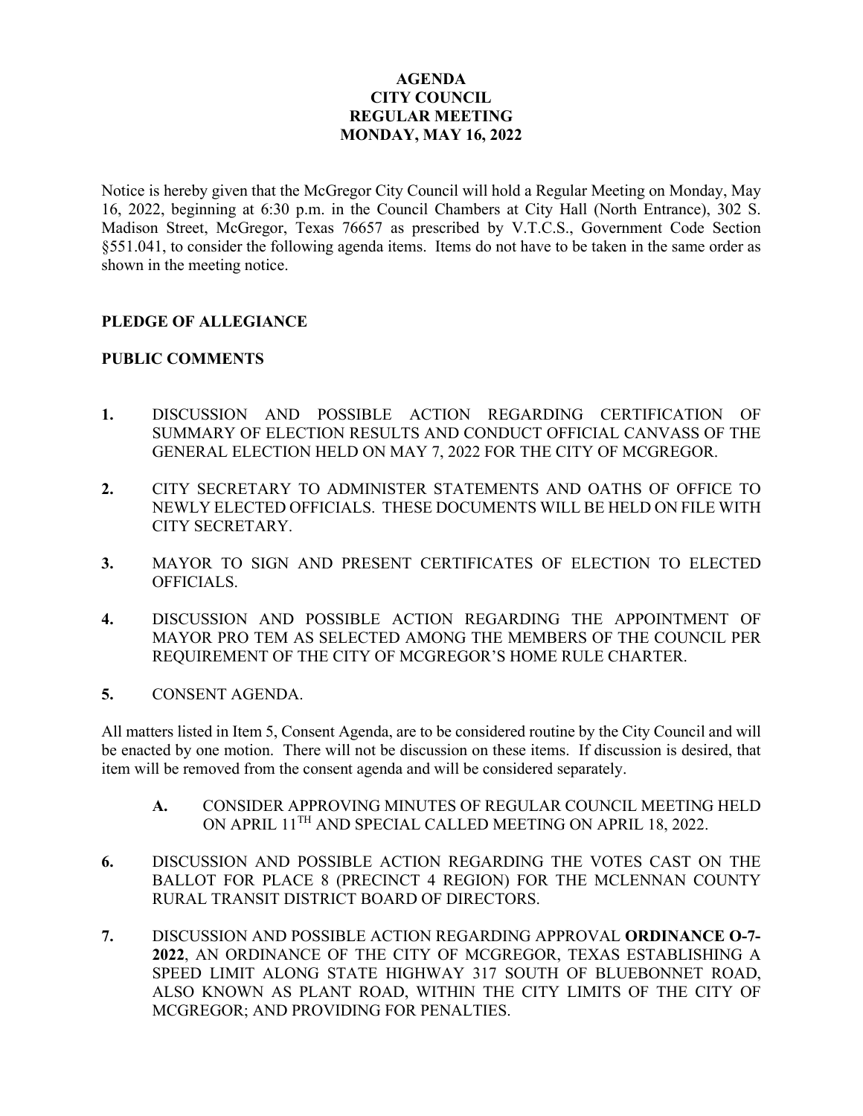## **AGENDA CITY COUNCIL REGULAR MEETING MONDAY, MAY 16, 2022**

Notice is hereby given that the McGregor City Council will hold a Regular Meeting on Monday, May 16, 2022, beginning at 6:30 p.m. in the Council Chambers at City Hall (North Entrance), 302 S. Madison Street, McGregor, Texas 76657 as prescribed by V.T.C.S., Government Code Section §551.041, to consider the following agenda items. Items do not have to be taken in the same order as shown in the meeting notice.

## **PLEDGE OF ALLEGIANCE**

## **PUBLIC COMMENTS**

- **1.** DISCUSSION AND POSSIBLE ACTION REGARDING CERTIFICATION OF SUMMARY OF ELECTION RESULTS AND CONDUCT OFFICIAL CANVASS OF THE GENERAL ELECTION HELD ON MAY 7, 2022 FOR THE CITY OF MCGREGOR.
- **2.** CITY SECRETARY TO ADMINISTER STATEMENTS AND OATHS OF OFFICE TO NEWLY ELECTED OFFICIALS. THESE DOCUMENTS WILL BE HELD ON FILE WITH CITY SECRETARY.
- **3.** MAYOR TO SIGN AND PRESENT CERTIFICATES OF ELECTION TO ELECTED OFFICIALS.
- **4.** DISCUSSION AND POSSIBLE ACTION REGARDING THE APPOINTMENT OF MAYOR PRO TEM AS SELECTED AMONG THE MEMBERS OF THE COUNCIL PER REQUIREMENT OF THE CITY OF MCGREGOR'S HOME RULE CHARTER.
- **5.** CONSENT AGENDA.

All matters listed in Item 5, Consent Agenda, are to be considered routine by the City Council and will be enacted by one motion. There will not be discussion on these items. If discussion is desired, that item will be removed from the consent agenda and will be considered separately.

- **A.** CONSIDER APPROVING MINUTES OF REGULAR COUNCIL MEETING HELD ON APRIL 11TH AND SPECIAL CALLED MEETING ON APRIL 18, 2022.
- **6.** DISCUSSION AND POSSIBLE ACTION REGARDING THE VOTES CAST ON THE BALLOT FOR PLACE 8 (PRECINCT 4 REGION) FOR THE MCLENNAN COUNTY RURAL TRANSIT DISTRICT BOARD OF DIRECTORS.
- **7.** DISCUSSION AND POSSIBLE ACTION REGARDING APPROVAL **ORDINANCE O-7- 2022**, AN ORDINANCE OF THE CITY OF MCGREGOR, TEXAS ESTABLISHING A SPEED LIMIT ALONG STATE HIGHWAY 317 SOUTH OF BLUEBONNET ROAD, ALSO KNOWN AS PLANT ROAD, WITHIN THE CITY LIMITS OF THE CITY OF MCGREGOR; AND PROVIDING FOR PENALTIES.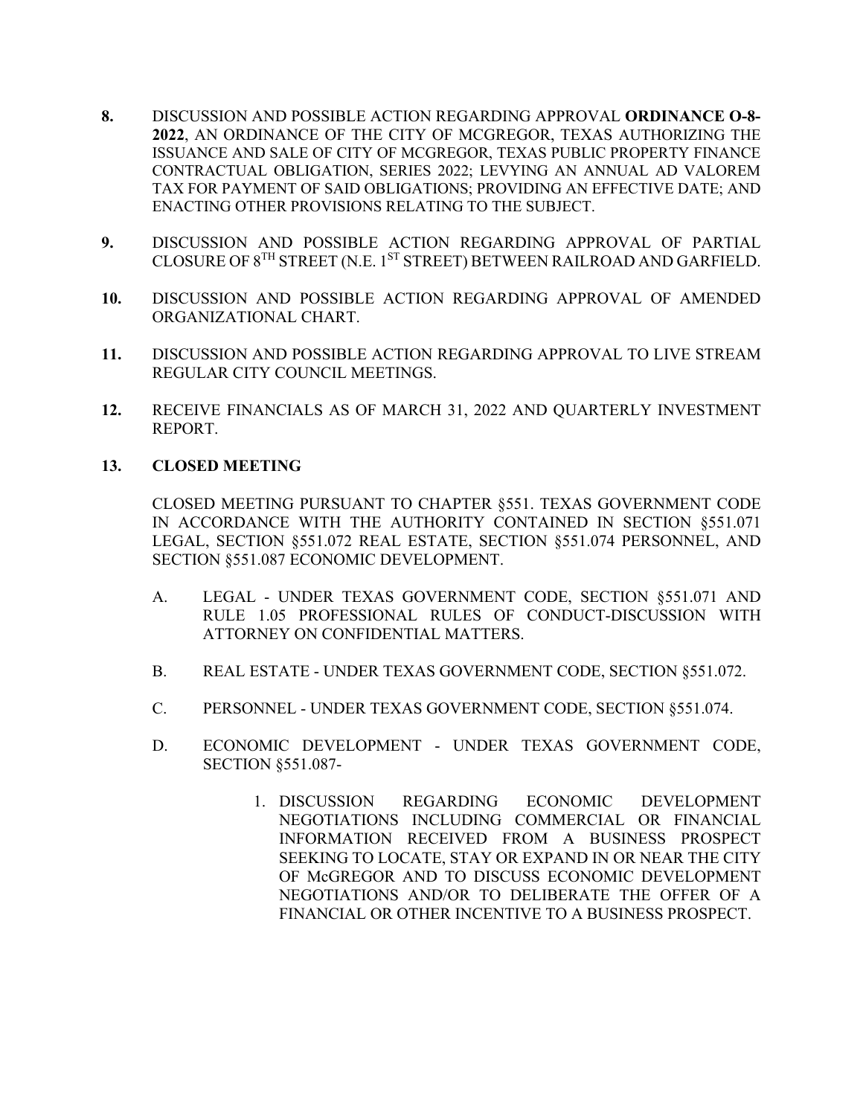- **8.** DISCUSSION AND POSSIBLE ACTION REGARDING APPROVAL **ORDINANCE O-8- 2022**, AN ORDINANCE OF THE CITY OF MCGREGOR, TEXAS AUTHORIZING THE ISSUANCE AND SALE OF CITY OF MCGREGOR, TEXAS PUBLIC PROPERTY FINANCE CONTRACTUAL OBLIGATION, SERIES 2022; LEVYING AN ANNUAL AD VALOREM TAX FOR PAYMENT OF SAID OBLIGATIONS; PROVIDING AN EFFECTIVE DATE; AND ENACTING OTHER PROVISIONS RELATING TO THE SUBJECT.
- **9.** DISCUSSION AND POSSIBLE ACTION REGARDING APPROVAL OF PARTIAL CLOSURE OF  $8^{TH}$  STREET (N.E. 1<sup>ST</sup> STREET) BETWEEN RAILROAD AND GARFIELD.
- **10.** DISCUSSION AND POSSIBLE ACTION REGARDING APPROVAL OF AMENDED ORGANIZATIONAL CHART.
- **11.** DISCUSSION AND POSSIBLE ACTION REGARDING APPROVAL TO LIVE STREAM REGULAR CITY COUNCIL MEETINGS.
- **12.** RECEIVE FINANCIALS AS OF MARCH 31, 2022 AND QUARTERLY INVESTMENT REPORT.

## **13. CLOSED MEETING**

CLOSED MEETING PURSUANT TO CHAPTER §551. TEXAS GOVERNMENT CODE IN ACCORDANCE WITH THE AUTHORITY CONTAINED IN SECTION §551.071 LEGAL, SECTION §551.072 REAL ESTATE, SECTION §551.074 PERSONNEL, AND SECTION §551.087 ECONOMIC DEVELOPMENT.

- A. LEGAL UNDER TEXAS GOVERNMENT CODE, SECTION §551.071 AND RULE 1.05 PROFESSIONAL RULES OF CONDUCT-DISCUSSION WITH ATTORNEY ON CONFIDENTIAL MATTERS.
- B. REAL ESTATE UNDER TEXAS GOVERNMENT CODE, SECTION §551.072.
- C. PERSONNEL UNDER TEXAS GOVERNMENT CODE, SECTION §551.074.
- D. ECONOMIC DEVELOPMENT UNDER TEXAS GOVERNMENT CODE, SECTION §551.087-
	- 1. DISCUSSION REGARDING ECONOMIC DEVELOPMENT NEGOTIATIONS INCLUDING COMMERCIAL OR FINANCIAL INFORMATION RECEIVED FROM A BUSINESS PROSPECT SEEKING TO LOCATE, STAY OR EXPAND IN OR NEAR THE CITY OF McGREGOR AND TO DISCUSS ECONOMIC DEVELOPMENT NEGOTIATIONS AND/OR TO DELIBERATE THE OFFER OF A FINANCIAL OR OTHER INCENTIVE TO A BUSINESS PROSPECT.